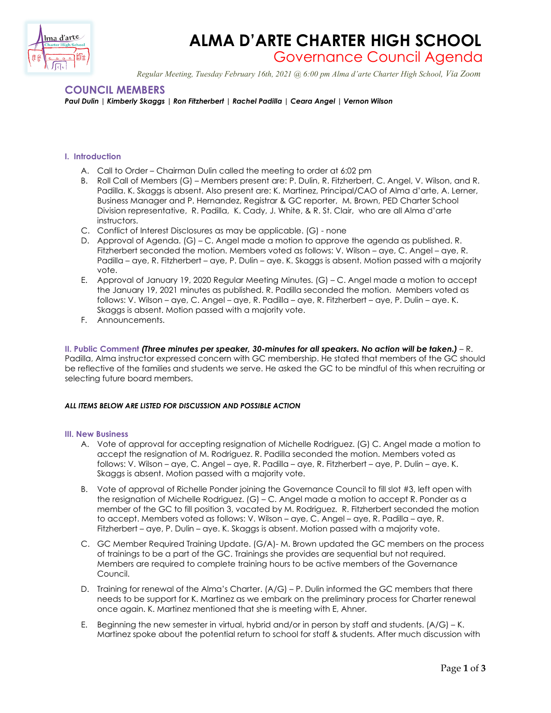

# **ALMA D'ARTE CHARTER HIGH SCHOOL**

Governance Council Agenda

 *Regular Meeting, Tuesday February 16th, 2021 @ 6:00 pm Alma d'arte Charter High School, Via Zoom*

## **COUNCIL MEMBERS**

*Paul Dulin | Kimberly Skaggs | Ron Fitzherbert | Rachel Padilla | Ceara Angel | Vernon Wilson* 

### **I. Introduction**

- A. Call to Order Chairman Dulin called the meeting to order at 6:02 pm
- B. Roll Call of Members (G) Members present are: P. Dulin, R. Fitzherbert, C. Angel, V. Wilson, and R. Padilla. K. Skaggs is absent. Also present are: K. Martinez, Principal/CAO of Alma d'arte, A. Lerner, Business Manager and P. Hernandez, Registrar & GC reporter, M. Brown, PED Charter School Division representative, R. Padilla, K. Cady, J. White, & R. St. Clair, who are all Alma d'arte instructors.
- C. Conflict of Interest Disclosures as may be applicable. (G) none
- D. Approval of Agenda. (G) C. Angel made a motion to approve the agenda as published. R. Fitzherbert seconded the motion. Members voted as follows: V. Wilson – aye, C. Angel – aye, R. Padilla – aye, R. Fitzherbert – aye, P. Dulin – aye. K. Skaggs is absent. Motion passed with a majority vote.
- E. Approval of January 19, 2020 Regular Meeting Minutes. (G) C. Angel made a motion to accept the January 19, 2021 minutes as published. R. Padilla seconded the motion. Members voted as follows: V. Wilson – aye, C. Angel – aye, R. Padilla – aye, R. Fitzherbert – aye, P. Dulin – aye. K. Skaggs is absent. Motion passed with a majority vote.
- F. Announcements.

**II. Public Comment** *(Three minutes per speaker, 30-minutes for all speakers. No action will be taken.)* – R. Padilla, Alma instructor expressed concern with GC membership. He stated that members of the GC should be reflective of the families and students we serve. He asked the GC to be mindful of this when recruiting or selecting future board members.

#### *ALL ITEMS BELOW ARE LISTED FOR DISCUSSION AND POSSIBLE ACTION*

#### **III. New Business**

- A. Vote of approval for accepting resignation of Michelle Rodriguez. (G) C. Angel made a motion to accept the resignation of M. Rodriguez. R. Padilla seconded the motion. Members voted as follows: V. Wilson – aye, C. Angel – aye, R. Padilla – aye, R. Fitzherbert – aye, P. Dulin – aye. K. Skaggs is absent. Motion passed with a majority vote.
- B. Vote of approval of Richelle Ponder joining the Governance Council to fill slot #3, left open with the resignation of Michelle Rodriguez. (G) – C. Angel made a motion to accept R. Ponder as a member of the GC to fill position 3, vacated by M. Rodriguez. R. Fitzherbert seconded the motion to accept. Members voted as follows: V. Wilson – aye, C. Angel – aye, R. Padilla – aye, R. Fitzherbert – aye, P. Dulin – aye. K. Skaggs is absent. Motion passed with a majority vote.
- C. GC Member Required Training Update. (G/A)- M. Brown updated the GC members on the process of trainings to be a part of the GC. Trainings she provides are sequential but not required. Members are required to complete training hours to be active members of the Governance Council.
- D. Training for renewal of the Alma's Charter. (A/G) P. Dulin informed the GC members that there needs to be support for K. Martinez as we embark on the preliminary process for Charter renewal once again. K. Martinez mentioned that she is meeting with E, Ahner.
- E. Beginning the new semester in virtual, hybrid and/or in person by staff and students. (A/G) K. Martinez spoke about the potential return to school for staff & students. After much discussion with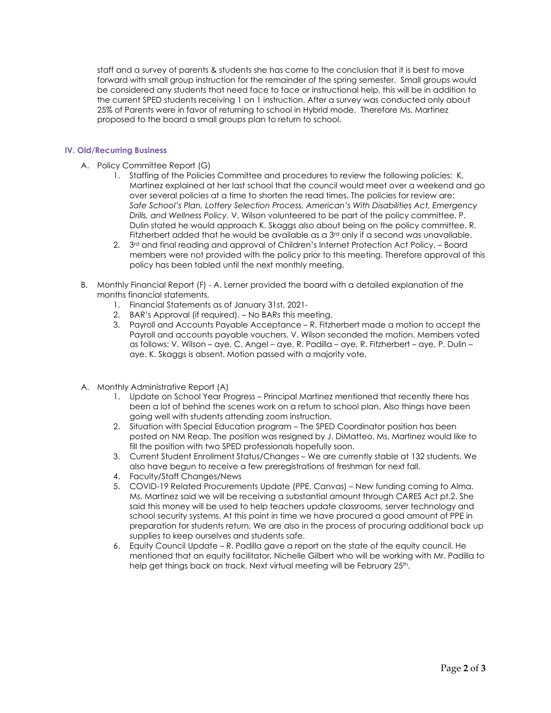staff and a survey of parents & students she has come to the conclusion that it is best to move forward with small group instruction for the remainder of the spring semester. Small groups would be considered any students that need face to face or instructional help, this will be in addition to the current SPED students receiving 1 on 1 instruction. After a survey was conducted only about 25% of Parents were in favor of returning to school in Hybrid mode. Therefore Ms. Martinez proposed to the board a small groups plan to return to school.

#### **IV. Old/Recurring Business**

- A. Policy Committee Report (G)
	- 1. Staffing of the Policies Committee and procedures to review the following policies: K. Martinez explained at her last school that the council would meet over a weekend and go over several policies at a time to shorten the read times. The policies for review are: *Safe School's Plan, Lottery Selection Process, American's With Disabilities Act, Emergency Drills, and Wellness Policy.* V. Wilson volunteered to be part of the policy committee. P. Dulin stated he would approach K. Skaggs also about being on the policy committee. R. Fitzherbert added that he would be available as a  $3<sup>rd</sup>$  only if a second was unavailable.
	- 2. 3<sup>rd</sup> and final reading and approval of Children's Internet Protection Act Policy. Board members were not provided with the policy prior to this meeting. Therefore approval of this policy has been tabled until the next monthly meeting.
- B. Monthly Financial Report (F) A. Lerner provided the board with a detailed explanation of the months financial statements.
	- 1. Financial Statements as of January 31st, 2021-
	- 2. BAR's Approval (if required). No BARs this meeting.
	- 3. Payroll and Accounts Payable Acceptance R. Fitzherbert made a motion to accept the Payroll and accounts payable vouchers. V. Wilson seconded the motion. Members voted as follows: V. Wilson – aye, C. Angel – aye, R. Padilla – aye, R. Fitzherbert – aye, P. Dulin – aye. K. Skaggs is absent. Motion passed with a majority vote.
- A. Monthly Administrative Report (A)
	- 1. Update on School Year Progress Principal Martinez mentioned that recently there has been a lot of behind the scenes work on a return to school plan. Also things have been going well with students attending zoom instruction.
	- 2. Situation with Special Education program The SPED Coordinator position has been posted on NM Reap. The position was resigned by J. DiMatteo. Ms. Martinez would like to fill the position with two SPED professionals hopefully soon.
	- 3. Current Student Enrollment Status/Changes We are currently stable at 132 students. We also have begun to receive a few preregistrations of freshman for next fall.
	- 4. Faculty/Staff Changes/News
	- 5. COVID-19 Related Procurements Update (PPE, Canvas) New funding coming to Alma. Ms. Martinez said we will be receiving a substantial amount through CARES Act pt.2. She said this money will be used to help teachers update classrooms, server technology and school security systems. At this point in time we have procured a good amount of PPE in preparation for students return. We are also in the process of procuring additional back up supplies to keep ourselves and students safe.
	- 6. Equity Council Update R. Padilla gave a report on the state of the equity council. He mentioned that an equity facilitator, Nichelle Gilbert who will be working with Mr. Padilla to help get things back on track. Next virtual meeting will be February 25<sup>th</sup>.